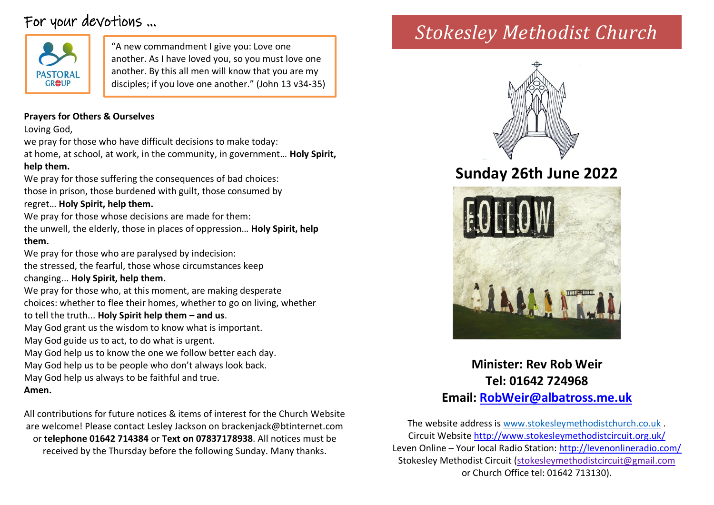## For your devotions …



"A new commandment I give you: Love one another. As I have loved you, so you must love one another. By this all men will know that you are my disciples; if you love one another." (John 13 v34-35)

#### **Prayers for Others & Ourselves**

Loving God,

we pray for those who have difficult decisions to make today: at home, at school, at work, in the community, in government… **Holy Spirit, help them.**

We pray for those suffering the consequences of bad choices: those in prison, those burdened with guilt, those consumed by

#### regret… **Holy Spirit, help them.**

We pray for those whose decisions are made for them:

the unwell, the elderly, those in places of oppression… **Holy Spirit, help them.**

We pray for those who are paralysed by indecision: the stressed, the fearful, those whose circumstances keep changing... **Holy Spirit, help them.** We pray for those who, at this moment, are making desperate choices: whether to flee their homes, whether to go on living, whether to tell the truth... **Holy Spirit help them – and us**. May God grant us the wisdom to know what is important. May God guide us to act, to do what is urgent. May God help us to know the one we follow better each day.

May God help us to be people who don't always look back.

May God help us always to be faithful and true.

#### **Amen.**

All contributions for future notices & items of interest for the Church Website are welcome! Please contact Lesley Jackson on [brackenjack@btinternet.com](mailto:brackenjack@btinternet.com) or **telephone 01642 714384** or **Text on 07837178938**. All notices must be received by the Thursday before the following Sunday. Many thanks.

# *Stokesley Methodist Church*



## **Sunday 26th June 2022**



**Minister: Rev Rob Weir Tel: 01642 724968 Email: [RobWeir@albatross.me.uk](mailto:RobWeir@albatross.me.uk)**

The website address is [www.stokesleymethodistchurch.co.uk](http://www.stokesleymethodistchurch.co.uk/) . Circuit Websit[e http://www.stokesleymethodistcircuit.org.uk/](http://www.stokesleymethodistcircuit.org.uk/) Leven Online – Your local Radio Station:<http://levenonlineradio.com/> Stokesley Methodist Circuit [\(stokesleymethodistcircuit@gmail.com](mailto:stokesleymethodistcircuit@gmail.com) or Church Office tel: 01642 713130).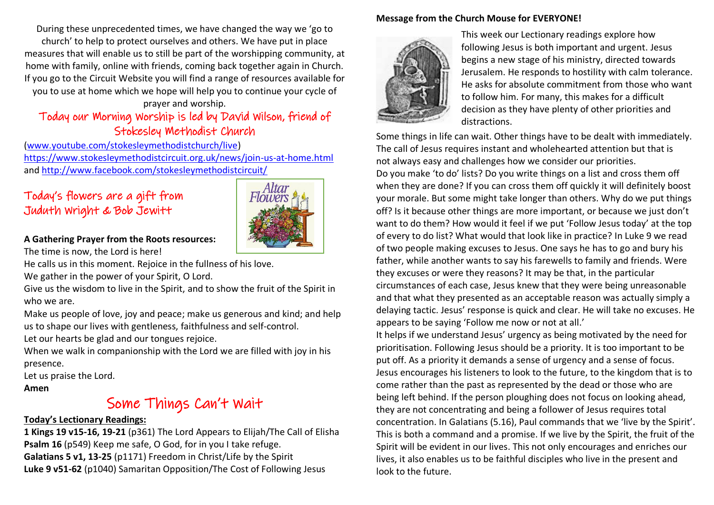During these unprecedented times, we have changed the way we 'go to church' to help to protect ourselves and others. We have put in place measures that will enable us to still be part of the worshipping community, at home with family, online with friends, coming back together again in Church. If you go to the Circuit Website you will find a range of resources available for you to use at home which we hope will help you to continue your cycle of

#### prayer and worship.

### Today our Morning Worship is led by David Wilson, friend of Stokesley Methodist Church

[\(www.youtube.com/stokesleymethodistchurch/live\)](http://www.youtube.com/stokesleymethodistchurch/live) <https://www.stokesleymethodistcircuit.org.uk/news/join-us-at-home.html> and<http://www.facebook.com/stokesleymethodistcircuit/>

### Today's flowers are a gift from Juduth Wright & Bob Jewitt



#### **A Gathering Prayer from the Roots resources:**

The time is now, the Lord is here!

He calls us in this moment. Rejoice in the fullness of his love.

We gather in the power of your Spirit, O Lord.

Give us the wisdom to live in the Spirit, and to show the fruit of the Spirit in who we are.

Make us people of love, joy and peace; make us generous and kind; and help us to shape our lives with gentleness, faithfulness and self-control.

Let our hearts be glad and our tongues rejoice.

When we walk in companionship with the Lord we are filled with joy in his presence.

Let us praise the Lord.

#### **Amen**

## Some Things Can't Wait

#### **Today's Lectionary Readings:**

**1 Kings 19 v15-16, 19-21** (p361) The Lord Appears to Elijah/The Call of Elisha **Psalm 16** (p549) Keep me safe, O God, for in you I take refuge. **Galatians 5 v1, 13-25** (p1171) Freedom in Christ/Life by the Spirit **Luke 9 v51-62** (p1040) Samaritan Opposition/The Cost of Following Jesus

#### **Message from the Church Mouse for EVERYONE!**



This week our Lectionary readings explore how following Jesus is both important and urgent. Jesus begins a new stage of his ministry, directed towards Jerusalem. He responds to hostility with calm tolerance. He asks for absolute commitment from those who want to follow him. For many, this makes for a difficult decision as they have plenty of other priorities and distractions.

Some things in life can wait. Other things have to be dealt with immediately. The call of Jesus requires instant and wholehearted attention but that is not always easy and challenges how we consider our priorities. Do you make 'to do' lists? Do you write things on a list and cross them off when they are done? If you can cross them off quickly it will definitely boost your morale. But some might take longer than others. Why do we put things off? Is it because other things are more important, or because we just don't want to do them? How would it feel if we put 'Follow Jesus today' at the top of every to do list? What would that look like in practice? In Luke 9 we read of two people making excuses to Jesus. One says he has to go and bury his father, while another wants to say his farewells to family and friends. Were they excuses or were they reasons? It may be that, in the particular circumstances of each case, Jesus knew that they were being unreasonable and that what they presented as an acceptable reason was actually simply a delaying tactic. Jesus' response is quick and clear. He will take no excuses. He appears to be saying 'Follow me now or not at all.' It helps if we understand Jesus' urgency as being motivated by the need for

prioritisation. Following Jesus should be a priority. It is too important to be put off. As a priority it demands a sense of urgency and a sense of focus. Jesus encourages his listeners to look to the future, to the kingdom that is to come rather than the past as represented by the dead or those who are being left behind. If the person ploughing does not focus on looking ahead, they are not concentrating and being a follower of Jesus requires total concentration. In Galatians (5.16), Paul commands that we 'live by the Spirit'. This is both a command and a promise. If we live by the Spirit, the fruit of the Spirit will be evident in our lives. This not only encourages and enriches our lives, it also enables us to be faithful disciples who live in the present and look to the future.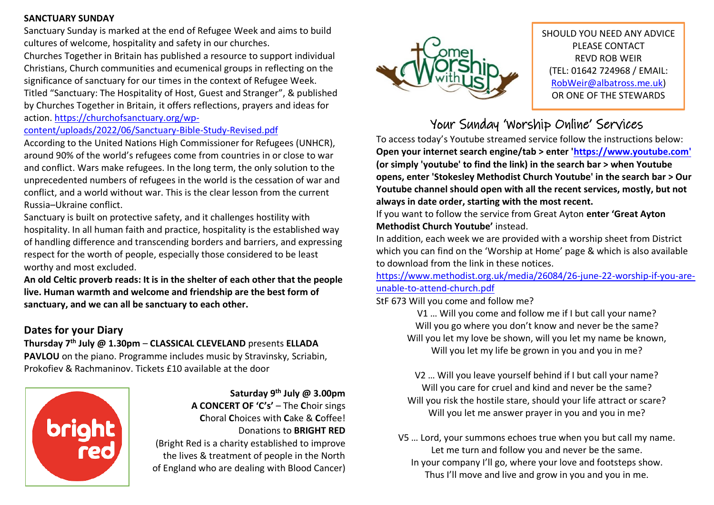#### **SANCTUARY SUNDAY**

Sanctuary Sunday is marked at the end of Refugee Week and aims to build cultures of welcome, hospitality and safety in our churches.

Churches Together in Britain has published a resource to support individual Christians, Church communities and ecumenical groups in reflecting on the significance of sanctuary for our times in the context of Refugee Week.

Titled "Sanctuary: The Hospitality of Host, Guest and Stranger", & published by Churches Together in Britain, it offers reflections, prayers and ideas for action. [https://churchofsanctuary.org/wp-](https://churchofsanctuary.org/wp-content/uploads/2022/06/Sanctuary-Bible-Study-Revised.pdf)

#### [content/uploads/2022/06/Sanctuary-Bible-Study-Revised.pdf](https://churchofsanctuary.org/wp-content/uploads/2022/06/Sanctuary-Bible-Study-Revised.pdf)

According to the United Nations High Commissioner for Refugees (UNHCR), around 90% of the world's refugees come from countries in or close to war and conflict. Wars make refugees. In the long term, the only solution to the unprecedented numbers of refugees in the world is the cessation of war and conflict, and a world without war. This is the clear lesson from the current Russia–Ukraine conflict.

Sanctuary is built on protective safety, and it challenges hostility with hospitality. In all human faith and practice, hospitality is the established way of handling difference and transcending borders and barriers, and expressing respect for the worth of people, especially those considered to be least worthy and most excluded.

**An old Celtic proverb reads: It is in the shelter of each other that the people live. Human warmth and welcome and friendship are the best form of sanctuary, and we can all be sanctuary to each other.**

#### **Dates for your Diary**

#### **Thursday 7th July @ 1.30pm** – **CLASSICAL CLEVELAND** presents **ELLADA PAVLOU** on the piano. Programme includes music by Stravinsky, Scriabin,

Prokofiev & Rachmaninov. Tickets £10 available at the door



**Saturday 9th July @ 3.00pm** 

**A CONCERT OF 'C's'** – The **C**hoir sings **C**horal **C**hoices with **C**ake & **C**offee! Donations to **BRIGHT RED**  (Bright Red is a charity established to improve

the lives & treatment of people in the North of England who are dealing with Blood Cancer)



SHOULD YOU NEED ANY ADVICE PLEASE CONTACT REVD ROB WEIR (TEL: 01642 724968 / EMAIL: [RobWeir@albatross.me.uk\)](mailto:RobWeir@albatross.me.uk) OR ONE OF THE STEWARDS

## $\overline{a}$ Your Sunday 'Worship Online' Services

To access today's Youtube streamed service follow the instructions below: **Open your internet search engine/tab > enter ['https://www.youtube.com'](https://www.youtube.com/) (or simply 'youtube' to find the link) in the search bar > when Youtube opens, enter 'Stokesley Methodist Church Youtube' in the search bar > Our Youtube channel should open with all the recent services, mostly, but not always in date order, starting with the most recent.**

If you want to follow the service from Great Ayton **enter 'Great Ayton Methodist Church Youtube'** instead.

In addition, each week we are provided with a worship sheet from District which you can find on the 'Worship at Home' page & which is also available to download from the link in these notices.

[https://www.methodist.org.uk/media/26084/26-june-22-worship-if-you-are](https://www.methodist.org.uk/media/26084/26-june-22-worship-if-you-are-unable-to-attend-church.pdf)[unable-to-attend-church.pdf](https://www.methodist.org.uk/media/26084/26-june-22-worship-if-you-are-unable-to-attend-church.pdf)

StF 673 Will you come and follow me?

V1 … Will you come and follow me if I but call your name? Will you go where you don't know and never be the same? Will you let my love be shown, will you let my name be known, Will you let my life be grown in you and you in me?

V2 … Will you leave yourself behind if I but call your name? Will you care for cruel and kind and never be the same? Will you risk the hostile stare, should your life attract or scare? Will you let me answer prayer in you and you in me?

- V5 … Lord, your summons echoes true when you but call my name. Let me turn and follow you and never be the same.
	- In your company I'll go, where your love and footsteps show. Thus I'll move and live and grow in you and you in me.